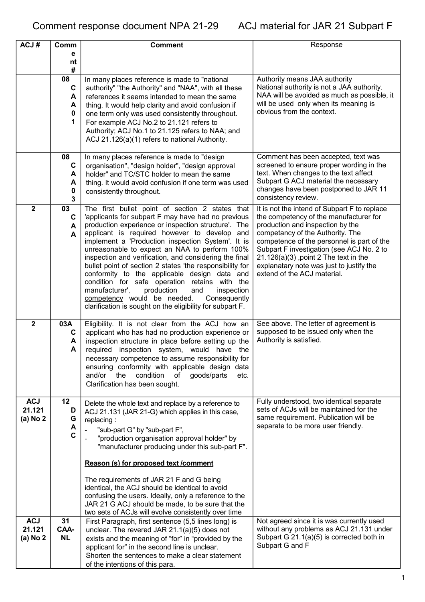| ACJ#                             | Comm                             | <b>Comment</b>                                                                                                                                                                                                                                                                                                                                                                                                                                                                                                                                                                                                                                                                                             | Response                                                                                                                                                                                                                                                                                                                                                                         |
|----------------------------------|----------------------------------|------------------------------------------------------------------------------------------------------------------------------------------------------------------------------------------------------------------------------------------------------------------------------------------------------------------------------------------------------------------------------------------------------------------------------------------------------------------------------------------------------------------------------------------------------------------------------------------------------------------------------------------------------------------------------------------------------------|----------------------------------------------------------------------------------------------------------------------------------------------------------------------------------------------------------------------------------------------------------------------------------------------------------------------------------------------------------------------------------|
|                                  | е<br>nt                          |                                                                                                                                                                                                                                                                                                                                                                                                                                                                                                                                                                                                                                                                                                            |                                                                                                                                                                                                                                                                                                                                                                                  |
|                                  | #                                |                                                                                                                                                                                                                                                                                                                                                                                                                                                                                                                                                                                                                                                                                                            |                                                                                                                                                                                                                                                                                                                                                                                  |
|                                  | 08<br>C<br>A<br>A<br>0<br>1      | In many places reference is made to "national<br>authority" "the Authority" and "NAA", with all these<br>references it seems intended to mean the same<br>thing. It would help clarity and avoid confusion if<br>one term only was used consistently throughout.<br>For example ACJ No.2 to 21.121 refers to<br>Authority; ACJ No.1 to 21.125 refers to NAA; and<br>ACJ 21.126(a)(1) refers to national Authority.                                                                                                                                                                                                                                                                                         | Authority means JAA authority<br>National authority is not a JAA authority.<br>NAA will be avoided as much as possible, it<br>will be used only when its meaning is<br>obvious from the context.                                                                                                                                                                                 |
|                                  | 08                               |                                                                                                                                                                                                                                                                                                                                                                                                                                                                                                                                                                                                                                                                                                            |                                                                                                                                                                                                                                                                                                                                                                                  |
|                                  | C<br>A<br>A<br>0<br>3            | In many places reference is made to "design<br>organisation", "design holder", "design approval<br>holder" and TC/STC holder to mean the same<br>thing. It would avoid confusion if one term was used<br>consistently throughout.                                                                                                                                                                                                                                                                                                                                                                                                                                                                          | Comment has been accepted, text was<br>screened to ensure proper wording in the<br>text. When changes to the text affect<br>Subpart G ACJ material the necessary<br>changes have been postponed to JAR 11<br>consistency review.                                                                                                                                                 |
| $\overline{2}$                   | 03<br>C<br>A<br>A                | The first bullet point of section 2 states that<br>'applicants for subpart F may have had no previous<br>production experience or inspection structure'. The<br>applicant is required however to develop and<br>implement a 'Production inspection System'. It is<br>unreasonable to expect an NAA to perform 100%<br>inspection and verification, and considering the final<br>bullet point of section 2 states 'the responsibility for<br>conformity to the applicable design data and<br>condition for safe operation retains with the<br>manufacturer',<br>production<br>and<br>inspection<br>competency would be needed.<br>Consequently<br>clarification is sought on the eligibility for subpart F. | It is not the intend of Subpart F to replace<br>the competency of the manufacturer for<br>production and inspection by the<br>competancy of the Authority. The<br>competence of the personnel is part of the<br>Subpart F investigation (see ACJ No. 2 to<br>$21.126(a)(3)$ , point 2 The text in the<br>explanatary note was just to justify the<br>extend of the ACJ material. |
| $\mathbf{2}$                     | 03A<br>C<br>A<br>A               | Eligibility. It is not clear from the ACJ how an<br>applicant who has had no production experience or<br>inspection structure in place before setting up the<br>required inspection system, would have the<br>necessary competence to assume responsibility for<br>ensuring conformity with applicable design data<br>and/or<br>the<br>condition<br>of<br>goods/parts<br>etc.<br>Clarification has been sought.                                                                                                                                                                                                                                                                                            | See above. The letter of agreement is<br>supposed to be issued only when the<br>Authority is satisfied.                                                                                                                                                                                                                                                                          |
| <b>ACJ</b><br>21.121<br>(a) No 2 | 12<br>D<br>G<br>A<br>$\mathbf c$ | Delete the whole text and replace by a reference to<br>ACJ 21.131 (JAR 21-G) which applies in this case,<br>replacing:<br>"sub-part G" by "sub-part F",<br>"production organisation approval holder" by<br>"manufacturer producing under this sub-part F".<br>Reason (s) for proposed text /comment<br>The requirements of JAR 21 F and G being<br>identical, the ACJ should be identical to avoid<br>confusing the users. Ideally, only a reference to the<br>JAR 21 G ACJ should be made, to be sure that the<br>two sets of ACJs will evolve consistently over time                                                                                                                                     | Fully understood, two identical separate<br>sets of ACJs will be maintained for the<br>same requirement. Publication will be<br>separate to be more user friendly.                                                                                                                                                                                                               |
| <b>ACJ</b><br>21.121<br>(a) No 2 | 31<br>CAA-<br><b>NL</b>          | First Paragraph, first sentence (5,5 lines long) is<br>unclear. The revered JAR 21.1(a)(5) does not<br>exists and the meaning of "for" in "provided by the<br>applicant for" in the second line is unclear.<br>Shorten the sentences to make a clear statement<br>of the intentions of this para.                                                                                                                                                                                                                                                                                                                                                                                                          | Not agreed since it is was currently used<br>without any problems as ACJ 21.131 under<br>Subpart G 21.1(a)(5) is corrected both in<br>Subpart G and F                                                                                                                                                                                                                            |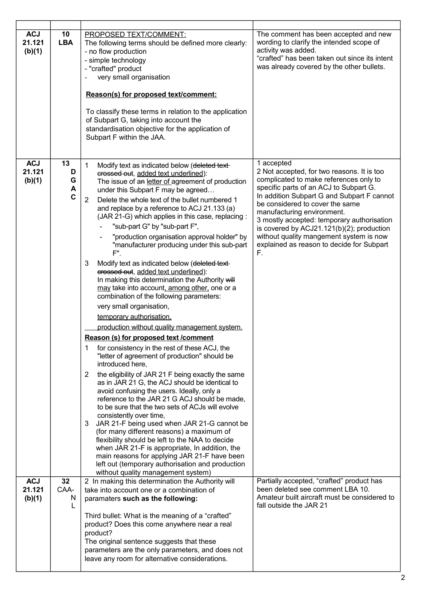| <b>ACJ</b><br>21.121<br>(b)(1) | 10<br><b>LBA</b>       | <b>PROPOSED TEXT/COMMENT:</b><br>The following terms should be defined more clearly:<br>- no flow production<br>- simple technology<br>- "crafted" product<br>very small organisation<br>Reason(s) for proposed text/comment:<br>To classify these terms in relation to the application<br>of Subpart G, taking into account the<br>standardisation objective for the application of<br>Subpart F within the JAA.                                                                                                                                                                                                                                                                                                                                                                                                                                                                                                                                                                                                                                                                                                                                                                                                                                                                                                                                                                                                                                                                                                                                                                                                                                | The comment has been accepted and new<br>wording to clarify the intended scope of<br>activity was added.<br>"crafted" has been taken out since its intent<br>was already covered by the other bullets.                                                                                                                                                                                                                                               |
|--------------------------------|------------------------|--------------------------------------------------------------------------------------------------------------------------------------------------------------------------------------------------------------------------------------------------------------------------------------------------------------------------------------------------------------------------------------------------------------------------------------------------------------------------------------------------------------------------------------------------------------------------------------------------------------------------------------------------------------------------------------------------------------------------------------------------------------------------------------------------------------------------------------------------------------------------------------------------------------------------------------------------------------------------------------------------------------------------------------------------------------------------------------------------------------------------------------------------------------------------------------------------------------------------------------------------------------------------------------------------------------------------------------------------------------------------------------------------------------------------------------------------------------------------------------------------------------------------------------------------------------------------------------------------------------------------------------------------|------------------------------------------------------------------------------------------------------------------------------------------------------------------------------------------------------------------------------------------------------------------------------------------------------------------------------------------------------------------------------------------------------------------------------------------------------|
| <b>ACJ</b><br>21.121<br>(b)(1) | 13<br>D<br>G<br>A<br>C | $\mathbf{1}$<br>Modify text as indicated below (deleted text-<br>erossed out, added text underlined):<br>The issue of an letter of agreement of production<br>under this Subpart F may be agreed<br>Delete the whole text of the bullet numbered 1<br>$\overline{2}$<br>and replace by a reference to ACJ 21.133 (a)<br>(JAR 21-G) which applies in this case, replacing:<br>"sub-part G" by "sub-part F",<br>"production organisation approval holder" by<br>"manufacturer producing under this sub-part<br>F".<br>3<br>Modify text as indicated below (deleted text-<br>erossed out, added text underlined):<br>In making this determination the Authority will<br>may take into account, among other, one or a<br>combination of the following parameters:<br>very small organisation,<br>temporary authorisation,<br>production without quality management system.<br>Reason (s) for proposed text / comment<br>for consistency in the rest of these ACJ, the<br>1<br>"letter of agreement of production" should be<br>introduced here,<br>the eligibility of JAR 21 F being exactly the same<br>2<br>as in JAR 21 G, the ACJ should be identical to<br>avoid confusing the users. Ideally, only a<br>reference to the JAR 21 G ACJ should be made,<br>to be sure that the two sets of ACJs will evolve<br>consistently over time,<br>JAR 21-F being used when JAR 21-G cannot be<br>3<br>(for many different reasons) a maximum of<br>flexibility should be left to the NAA to decide<br>when JAR 21-F is appropriate, In addition, the<br>main reasons for applying JAR 21-F have been<br>left out (temporary authorisation and production | 1 accepted<br>2 Not accepted, for two reasons. It is too<br>complicated to make references only to<br>specific parts of an ACJ to Subpart G.<br>In addition Subpart G and Subpart F cannot<br>be considered to cover the same<br>manufacturing environment.<br>3 mostly accepted: temporary authorisation<br>is covered by ACJ21.121(b)(2); production<br>without quality mangement system is now<br>explained as reason to decide for Subpart<br>F. |
| <b>ACJ</b>                     | 32                     | without quality management system)<br>2 In making this determination the Authority will                                                                                                                                                                                                                                                                                                                                                                                                                                                                                                                                                                                                                                                                                                                                                                                                                                                                                                                                                                                                                                                                                                                                                                                                                                                                                                                                                                                                                                                                                                                                                          | Partially accepted, "crafted" product has                                                                                                                                                                                                                                                                                                                                                                                                            |
| 21.121<br>(b)(1)               | CAA-<br>N<br>L         | take into account one or a combination of<br>paramaters such as the following:<br>Third bullet: What is the meaning of a "crafted"<br>product? Does this come anywhere near a real<br>product?<br>The original sentence suggests that these                                                                                                                                                                                                                                                                                                                                                                                                                                                                                                                                                                                                                                                                                                                                                                                                                                                                                                                                                                                                                                                                                                                                                                                                                                                                                                                                                                                                      | been deleted see comment LBA 10.<br>Amateur built aircraft must be considered to<br>fall outside the JAR 21                                                                                                                                                                                                                                                                                                                                          |
|                                |                        | parameters are the only parameters, and does not<br>leave any room for alternative considerations.                                                                                                                                                                                                                                                                                                                                                                                                                                                                                                                                                                                                                                                                                                                                                                                                                                                                                                                                                                                                                                                                                                                                                                                                                                                                                                                                                                                                                                                                                                                                               |                                                                                                                                                                                                                                                                                                                                                                                                                                                      |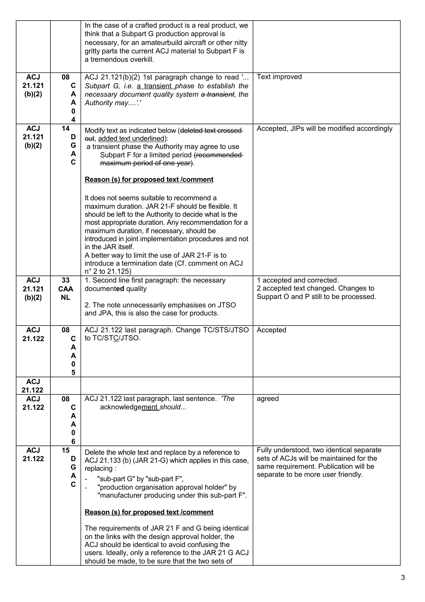|                                |                                       | In the case of a crafted product is a real product, we<br>think that a Subpart G production approval is<br>necessary, for an amateurbuild aircraft or other nitty<br>gritty parts the current ACJ material to Subpart F is<br>a tremendous overkill.                                                                                                                                                                                                                                                                                                                                                                                                                                                                    |                                                                                                                                                                    |
|--------------------------------|---------------------------------------|-------------------------------------------------------------------------------------------------------------------------------------------------------------------------------------------------------------------------------------------------------------------------------------------------------------------------------------------------------------------------------------------------------------------------------------------------------------------------------------------------------------------------------------------------------------------------------------------------------------------------------------------------------------------------------------------------------------------------|--------------------------------------------------------------------------------------------------------------------------------------------------------------------|
| <b>ACJ</b><br>21.121<br>(b)(2) | 08<br>C<br>A<br>A<br>0<br>4           | ACJ 21.121(b)(2) 1st paragraph change to read '<br>Subpart G, i.e. a transient phase to establish the<br>necessary document quality system a transient, the<br>Authority may'.'                                                                                                                                                                                                                                                                                                                                                                                                                                                                                                                                         | Text improved                                                                                                                                                      |
| <b>ACJ</b><br>21.121<br>(b)(2) | 14<br>D<br>G<br>A<br>C                | Modify text as indicated below (deleted text crossed-<br>out, added text underlined):<br>a transient phase the Authority may agree to use<br>Subpart F for a limited period (recommended-<br>maximum period of one year).<br>Reason (s) for proposed text /comment<br>It does not seems suitable to recommend a<br>maximum duration. JAR 21-F should be flexible. It<br>should be left to the Authority to decide what is the<br>most appropriate duration. Any recommendation for a<br>maximum duration, if necessary, should be<br>introduced in joint implementation procedures and not<br>in the JAR itself.<br>A better way to limit the use of JAR 21-F is to<br>introduce a termination date (Cf. comment on ACJ | Accepted, JIPs will be modified accordingly                                                                                                                        |
| <b>ACJ</b><br>21.121<br>(b)(2) | 33<br>CAA<br><b>NL</b>                | $n^{\circ}$ 2 to 21.125)<br>1. Second line first paragraph: the necessary<br>documented quality<br>2. The note unnecessarily emphasises on JTSO<br>and JPA, this is also the case for products.                                                                                                                                                                                                                                                                                                                                                                                                                                                                                                                         | 1 accepted and corrected.<br>2 accepted text changed. Changes to<br>Suppart O and P still to be processed.                                                         |
| <b>ACJ</b><br>21.122           | 08<br>C<br>A<br>А<br>0<br>5           | ACJ 21.122 last paragraph. Change TC/STS/JTSO<br>to TC/STC/JTSO.                                                                                                                                                                                                                                                                                                                                                                                                                                                                                                                                                                                                                                                        | Accepted                                                                                                                                                           |
| <b>ACJ</b><br>21.122           |                                       |                                                                                                                                                                                                                                                                                                                                                                                                                                                                                                                                                                                                                                                                                                                         |                                                                                                                                                                    |
| <b>ACJ</b><br>21.122           | 08<br>$\mathbf c$<br>А<br>A<br>0<br>6 | ACJ 21.122 last paragraph, last sentence. 'The<br>acknowledgement_should                                                                                                                                                                                                                                                                                                                                                                                                                                                                                                                                                                                                                                                | agreed                                                                                                                                                             |
| <b>ACJ</b><br>21.122           | 15<br>D<br>G<br>A<br>C                | Delete the whole text and replace by a reference to<br>ACJ 21.133 (b) (JAR 21-G) which applies in this case,<br>replacing:<br>"sub-part G" by "sub-part F",<br>"production organisation approval holder" by<br>"manufacturer producing under this sub-part F".<br>Reason (s) for proposed text /comment<br>The requirements of JAR 21 F and G being identical<br>on the links with the design approval holder, the<br>ACJ should be identical to avoid confusing the<br>users. Ideally, only a reference to the JAR 21 G ACJ<br>should be made, to be sure that the two sets of                                                                                                                                         | Fully understood, two identical separate<br>sets of ACJs will be maintained for the<br>same requirement. Publication will be<br>separate to be more user friendly. |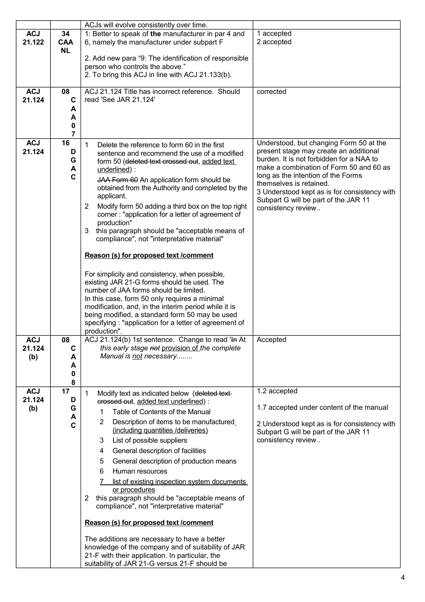|                                                |                       | ACJs will evolve consistently over time.                                                                                                                                                                                                                                                                                                                                                                                                                                                                                                                                                                                                                                                                                                                                                                                                                                                                                                                |                                                                                                                                                                                                                                                                                                                                                         |
|------------------------------------------------|-----------------------|---------------------------------------------------------------------------------------------------------------------------------------------------------------------------------------------------------------------------------------------------------------------------------------------------------------------------------------------------------------------------------------------------------------------------------------------------------------------------------------------------------------------------------------------------------------------------------------------------------------------------------------------------------------------------------------------------------------------------------------------------------------------------------------------------------------------------------------------------------------------------------------------------------------------------------------------------------|---------------------------------------------------------------------------------------------------------------------------------------------------------------------------------------------------------------------------------------------------------------------------------------------------------------------------------------------------------|
| <b>ACJ</b><br>34<br>21.122<br>CAA<br><b>NL</b> |                       | 1: Better to speak of the manufacturer in par 4 and<br>6, namely the manufacturer under subpart F                                                                                                                                                                                                                                                                                                                                                                                                                                                                                                                                                                                                                                                                                                                                                                                                                                                       | 1 accepted<br>2 accepted                                                                                                                                                                                                                                                                                                                                |
|                                                |                       | 2. Add new para "9: The identification of responsible<br>person who controls the above."<br>2. To bring this ACJ in line with ACJ 21.133(b).                                                                                                                                                                                                                                                                                                                                                                                                                                                                                                                                                                                                                                                                                                                                                                                                            |                                                                                                                                                                                                                                                                                                                                                         |
| <b>ACJ</b><br>08<br>21.124                     | C<br>А<br>А<br>0<br>7 | ACJ 21.124 Title has incorrect reference. Should<br>read 'See JAR 21.124'                                                                                                                                                                                                                                                                                                                                                                                                                                                                                                                                                                                                                                                                                                                                                                                                                                                                               | corrected                                                                                                                                                                                                                                                                                                                                               |
| 16<br><b>ACJ</b><br>21.124                     | D<br>G<br>A<br>C      | $\mathbf{1}$<br>Delete the reference to form 60 in the first<br>sentence and recommend the use of a modified<br>form 50 (deleted text crossed out, added text<br>underlined):<br>JAA Form 60 An application form should be<br>obtained from the Authority and completed by the<br>applicant.<br>Modify form 50 adding a third box on the top right<br>2<br>corner: "application for a letter of agreement of<br>production"<br>this paragraph should be "acceptable means of<br>3<br>compliance", not "interpretative material"<br>Reason (s) for proposed text /comment<br>For simplicity and consistency, when possible,<br>existing JAR 21-G forms should be used. The<br>number of JAA forms should be limited.<br>In this case, form 50 only requires a minimal<br>modification, and, in the interim period while it is<br>being modified, a standard form 50 may be used<br>specifying: "application for a letter of agreement of<br>production". | Understood, but changing Form 50 at the<br>present stage may create an additional<br>burden. It is not forbidden for a NAA to<br>make a combination of Form 50 and 60 as<br>long as the intention of the Forms<br>themselves is retained.<br>3 Understood kept as is for consistency with<br>Subpart G will be part of the JAR 11<br>consistency review |
| ACJ<br>08<br>21.124<br>(b)                     | C<br>А<br>A<br>0<br>8 | ACJ 21.124(b) 1st sentence. Change to read 'In At<br>this early stage not provision of the complete<br>Manual is not necessary                                                                                                                                                                                                                                                                                                                                                                                                                                                                                                                                                                                                                                                                                                                                                                                                                          | Accepted                                                                                                                                                                                                                                                                                                                                                |
| 17<br><b>ACJ</b><br>21.124<br>(b)              | D<br>G<br>A<br>C      | $\mathbf{1}$<br>Modify text as indicated below (deleted text-<br>erossed out, added text underlined) :<br>Table of Contents of the Manual<br>1<br>2<br>Description of items to be manufactured<br>(including quantities /deliveries)<br>List of possible suppliers<br>3<br>General description of facilities<br>4<br>General description of production means<br>5<br>6<br>Human resources<br>list of existing inspection system documents<br>or procedures<br>this paragraph should be "acceptable means of<br>2<br>compliance", not "interpretative material"<br>Reason (s) for proposed text /comment<br>The additions are necessary to have a better<br>knowledge of the company and of suitability of JAR<br>21-F with their application. In particular, the                                                                                                                                                                                        | 1.2 accepted<br>1.7 accepted under content of the manual<br>2 Understood kept as is for consistency with<br>Subpart G will be part of the JAR 11<br>consistency review                                                                                                                                                                                  |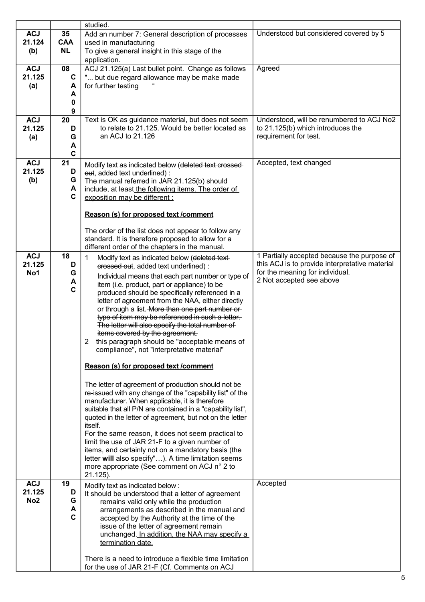|                 |                         | studied.                                                                                                    |                                                            |
|-----------------|-------------------------|-------------------------------------------------------------------------------------------------------------|------------------------------------------------------------|
| <b>ACJ</b>      | 35                      | Add an number 7: General description of processes                                                           | Understood but considered covered by 5                     |
| 21.124          | <b>CAA</b><br><b>NL</b> | used in manufacturing                                                                                       |                                                            |
| (b)             |                         | To give a general insight in this stage of the<br>application.                                              |                                                            |
| <b>ACJ</b>      | 08                      | ACJ 21.125(a) Last bullet point. Change as follows                                                          | Agreed                                                     |
| 21.125          | C                       | " but due regard allowance may be make made                                                                 |                                                            |
| (a)             | A                       | for further testing                                                                                         |                                                            |
|                 | A<br>0                  |                                                                                                             |                                                            |
|                 | 9                       |                                                                                                             |                                                            |
| <b>ACJ</b>      | 20                      | Text is OK as guidance material, but does not seem                                                          | Understood, will be renumbered to ACJ No2                  |
| 21.125          | D                       | to relate to 21.125. Would be better located as<br>an ACJ to 21.126                                         | to 21.125(b) which introduces the<br>requirement for test. |
| (a)             | G<br>A                  |                                                                                                             |                                                            |
|                 | $\mathbf c$             |                                                                                                             |                                                            |
| <b>ACJ</b>      | 21                      | Modify text as indicated below (deleted text crossed-                                                       | Accepted, text changed                                     |
| 21.125          | D<br>G                  | eut, added text underlined) :                                                                               |                                                            |
| (b)             | A                       | The manual referred in JAR 21.125(b) should<br>include, at least the following items. The order of          |                                                            |
|                 | C                       | exposition may be different :                                                                               |                                                            |
|                 |                         |                                                                                                             |                                                            |
|                 |                         | Reason (s) for proposed text /comment                                                                       |                                                            |
|                 |                         | The order of the list does not appear to follow any                                                         |                                                            |
|                 |                         | standard. It is therefore proposed to allow for a                                                           |                                                            |
| <b>ACJ</b>      | 18                      | different order of the chapters in the manual.                                                              | 1 Partially accepted because the purpose of                |
| 21.125          | D                       | 1<br>Modify text as indicated below (deleted text-<br>erossed out, added text underlined) :                 | this ACJ is to provide interpretative material             |
| No1             | G                       | Individual means that each part number or type of                                                           | for the meaning for individual.                            |
|                 | A                       | item (i.e. product, part or appliance) to be                                                                | 2 Not accepted see above                                   |
|                 | C                       | produced should be specifically referenced in a                                                             |                                                            |
|                 |                         | letter of agreement from the NAA, either directly<br>or through a list. More than one part number or        |                                                            |
|                 |                         | type of item may be referenced in such a letter.                                                            |                                                            |
|                 |                         | The letter will also specify the total number of                                                            |                                                            |
|                 |                         | items covered by the agreement.<br>2 this paragraph should be "acceptable means of                          |                                                            |
|                 |                         | compliance", not "interpretative material"                                                                  |                                                            |
|                 |                         |                                                                                                             |                                                            |
|                 |                         | Reason (s) for proposed text /comment                                                                       |                                                            |
|                 |                         | The letter of agreement of production should not be                                                         |                                                            |
|                 |                         | re-issued with any change of the "capability list" of the<br>manufacturer. When applicable, it is therefore |                                                            |
|                 |                         | suitable that all P/N are contained in a "capability list",                                                 |                                                            |
|                 |                         | quoted in the letter of agreement, but not on the letter                                                    |                                                            |
|                 |                         | itself.<br>For the same reason, it does not seem practical to                                               |                                                            |
|                 |                         | limit the use of JAR 21-F to a given number of                                                              |                                                            |
|                 |                         | items, and certainly not on a mandatory basis (the                                                          |                                                            |
|                 |                         | letter will also specify"). A time limitation seems                                                         |                                                            |
|                 |                         | more appropriate (See comment on ACJ n° 2 to<br>21.125).                                                    |                                                            |
| <b>ACJ</b>      | 19                      | Modify text as indicated below:                                                                             | Accepted                                                   |
| 21.125          | D                       | It should be understood that a letter of agreement                                                          |                                                            |
| No <sub>2</sub> | G<br>A                  | remains valid only while the production                                                                     |                                                            |
|                 | C                       | arrangements as described in the manual and<br>accepted by the Authority at the time of the                 |                                                            |
|                 |                         | issue of the letter of agreement remain                                                                     |                                                            |
|                 |                         | unchanged. In addition, the NAA may specify a                                                               |                                                            |
|                 |                         | termination date.                                                                                           |                                                            |
|                 |                         | There is a need to introduce a flexible time limitation                                                     |                                                            |
|                 |                         | for the use of JAR 21-F (Cf. Comments on ACJ                                                                |                                                            |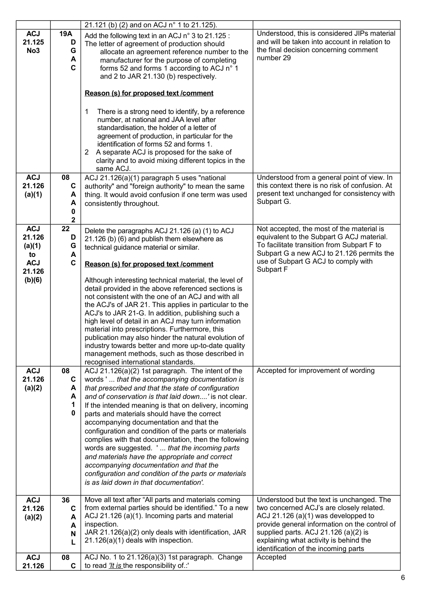|                                         |                                | 21.121 (b) (2) and on ACJ n° 1 to 21.125).                                                                                                                                                                                                                                                                                                                                                                                                                                                                                                |                                                                                                                                                     |
|-----------------------------------------|--------------------------------|-------------------------------------------------------------------------------------------------------------------------------------------------------------------------------------------------------------------------------------------------------------------------------------------------------------------------------------------------------------------------------------------------------------------------------------------------------------------------------------------------------------------------------------------|-----------------------------------------------------------------------------------------------------------------------------------------------------|
| <b>ACJ</b><br>21.125<br>No <sub>3</sub> | <b>19A</b><br>D<br>G<br>A<br>C | Add the following text in an ACJ n° 3 to 21.125 :<br>The letter of agreement of production should<br>allocate an agreement reference number to the<br>manufacturer for the purpose of completing<br>forms 52 and forms 1 according to ACJ n° 1<br>and 2 to JAR 21.130 (b) respectively.                                                                                                                                                                                                                                                   | Understood, this is considered JIPs material<br>and will be taken into account in relation to<br>the final decision concerning comment<br>number 29 |
|                                         |                                | Reason (s) for proposed text /comment                                                                                                                                                                                                                                                                                                                                                                                                                                                                                                     |                                                                                                                                                     |
|                                         |                                | There is a strong need to identify, by a reference<br>1<br>number, at national and JAA level after<br>standardisation, the holder of a letter of<br>agreement of production, in particular for the<br>identification of forms 52 and forms 1.<br>2 A separate ACJ is proposed for the sake of<br>clarity and to avoid mixing different topics in the<br>same ACJ.                                                                                                                                                                         |                                                                                                                                                     |
| <b>ACJ</b>                              | 08                             | ACJ 21.126(a)(1) paragraph 5 uses "national                                                                                                                                                                                                                                                                                                                                                                                                                                                                                               | Understood from a general point of view. In                                                                                                         |
| 21.126                                  | C                              | authority" and "foreign authority" to mean the same<br>thing. It would avoid confusion if one term was used                                                                                                                                                                                                                                                                                                                                                                                                                               | this context there is no risk of confusion. At<br>present text unchanged for consistency with                                                       |
| (a)(1)                                  | A<br>A                         | consistently throughout.                                                                                                                                                                                                                                                                                                                                                                                                                                                                                                                  | Subpart G.                                                                                                                                          |
|                                         | 0                              |                                                                                                                                                                                                                                                                                                                                                                                                                                                                                                                                           |                                                                                                                                                     |
| <b>ACJ</b>                              | $\mathbf{2}$<br>22             |                                                                                                                                                                                                                                                                                                                                                                                                                                                                                                                                           | Not accepted, the most of the material is                                                                                                           |
| 21.126                                  | D                              | Delete the paragraphs ACJ 21.126 (a) (1) to ACJ<br>21.126 (b) (6) and publish them elsewhere as                                                                                                                                                                                                                                                                                                                                                                                                                                           | equivalent to the Subpart G ACJ material.                                                                                                           |
| (a)(1)                                  | G                              | technical guidance material or similar.                                                                                                                                                                                                                                                                                                                                                                                                                                                                                                   | To facilitate transition from Subpart F to                                                                                                          |
| to                                      | A                              |                                                                                                                                                                                                                                                                                                                                                                                                                                                                                                                                           | Subpart G a new ACJ to 21.126 permits the<br>use of Subpart G ACJ to comply with                                                                    |
| <b>ACJ</b><br>21.126                    | $\mathbf c$                    | Reason (s) for proposed text /comment                                                                                                                                                                                                                                                                                                                                                                                                                                                                                                     | Subpart F                                                                                                                                           |
| (b)(6)                                  |                                | Although interesting technical material, the level of                                                                                                                                                                                                                                                                                                                                                                                                                                                                                     |                                                                                                                                                     |
|                                         |                                | detail provided in the above referenced sections is<br>not consistent with the one of an ACJ and with all<br>the ACJ's of JAR 21. This applies in particular to the<br>ACJ's to JAR 21-G. In addition, publishing such a<br>high level of detail in an ACJ may turn information<br>material into prescriptions. Furthermore, this<br>publication may also hinder the natural evolution of<br>industry towards better and more up-to-date quality<br>management methods, such as those described in<br>recognised international standards. |                                                                                                                                                     |
| <b>ACJ</b><br>21.126                    | 08<br>C                        | ACJ 21.126(a)(2) 1st paragraph. The intent of the<br>words ' that the accompanying documentation is                                                                                                                                                                                                                                                                                                                                                                                                                                       | Accepted for improvement of wording                                                                                                                 |
| (a)(2)                                  | A                              | that prescribed and that the state of configuration                                                                                                                                                                                                                                                                                                                                                                                                                                                                                       |                                                                                                                                                     |
|                                         | A                              | and of conservation is that laid down' is not clear.                                                                                                                                                                                                                                                                                                                                                                                                                                                                                      |                                                                                                                                                     |
|                                         | 1<br>0                         | If the intended meaning is that on delivery, incoming                                                                                                                                                                                                                                                                                                                                                                                                                                                                                     |                                                                                                                                                     |
|                                         |                                | parts and materials should have the correct<br>accompanying documentation and that the                                                                                                                                                                                                                                                                                                                                                                                                                                                    |                                                                                                                                                     |
|                                         |                                | configuration and condition of the parts or materials                                                                                                                                                                                                                                                                                                                                                                                                                                                                                     |                                                                                                                                                     |
|                                         |                                | complies with that documentation, then the following<br>words are suggested. ' that the incoming parts                                                                                                                                                                                                                                                                                                                                                                                                                                    |                                                                                                                                                     |
|                                         |                                | and materials have the appropriate and correct                                                                                                                                                                                                                                                                                                                                                                                                                                                                                            |                                                                                                                                                     |
|                                         |                                | accompanying documentation and that the                                                                                                                                                                                                                                                                                                                                                                                                                                                                                                   |                                                                                                                                                     |
|                                         |                                | configuration and condition of the parts or materials<br>is as laid down in that documentation'.                                                                                                                                                                                                                                                                                                                                                                                                                                          |                                                                                                                                                     |
|                                         |                                |                                                                                                                                                                                                                                                                                                                                                                                                                                                                                                                                           |                                                                                                                                                     |
| <b>ACJ</b>                              | 36                             | Move all text after "All parts and materials coming                                                                                                                                                                                                                                                                                                                                                                                                                                                                                       | Understood but the text is unchanged. The                                                                                                           |
| 21.126                                  | C                              | from external parties should be identified." To a new<br>ACJ 21.126 (a)(1). Incoming parts and material                                                                                                                                                                                                                                                                                                                                                                                                                                   | two concerned ACJ's are closely related.<br>ACJ 21.126 (a) $(1)$ was developped to                                                                  |
| (a)(2)                                  | A<br>A                         | inspection.                                                                                                                                                                                                                                                                                                                                                                                                                                                                                                                               | provide general information on the control of                                                                                                       |
|                                         | N                              | JAR 21.126(a)(2) only deals with identification, JAR                                                                                                                                                                                                                                                                                                                                                                                                                                                                                      | supplied parts. ACJ 21.126 (a)(2) is                                                                                                                |
|                                         |                                | 21.126(a)(1) deals with inspection.                                                                                                                                                                                                                                                                                                                                                                                                                                                                                                       | explaining what activity is behind the<br>identification of the incoming parts                                                                      |
| <b>ACJ</b><br>21.126                    | 08<br>C                        | ACJ No. 1 to 21.126(a)(3) 1st paragraph. Change<br>to read "It is the responsibility of.:"                                                                                                                                                                                                                                                                                                                                                                                                                                                | Accepted                                                                                                                                            |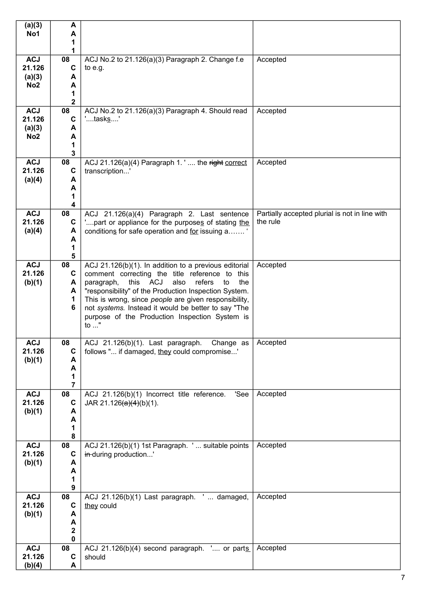| (a)(3)<br>No1             | A<br>А               |                                                                                                              |                                                            |
|---------------------------|----------------------|--------------------------------------------------------------------------------------------------------------|------------------------------------------------------------|
|                           | 1                    |                                                                                                              |                                                            |
| <b>ACJ</b>                | 1<br>08              | ACJ No.2 to 21.126(a)(3) Paragraph 2. Change f.e                                                             | Accepted                                                   |
| 21.126                    | $\mathbf c$          | to e.g.                                                                                                      |                                                            |
| (a)(3)<br>No <sub>2</sub> | A<br>A               |                                                                                                              |                                                            |
|                           | 1                    |                                                                                                              |                                                            |
| <b>ACJ</b>                | $\overline{2}$<br>08 | ACJ No.2 to 21.126(a)(3) Paragraph 4. Should read                                                            | Accepted                                                   |
| 21.126                    | $\mathbf c$          | 'tasks'                                                                                                      |                                                            |
| (a)(3)                    | A                    |                                                                                                              |                                                            |
| No <sub>2</sub>           | A<br>1               |                                                                                                              |                                                            |
|                           | $\mathbf{3}$         |                                                                                                              |                                                            |
| <b>ACJ</b><br>21.126      | 08<br>C              | ACJ 21.126(a)(4) Paragraph 1.' the right correct<br>transcription'                                           | Accepted                                                   |
| (a)(4)                    | A                    |                                                                                                              |                                                            |
|                           | A<br>1               |                                                                                                              |                                                            |
|                           | 4                    |                                                                                                              |                                                            |
| <b>ACJ</b><br>21.126      | 08<br>C              | ACJ 21.126(a)(4) Paragraph 2. Last sentence                                                                  | Partially accepted plurial is not in line with<br>the rule |
| (a)(4)                    | A                    | ' part or appliance for the purposes of stating the<br>conditions for safe operation and for issuing a'      |                                                            |
|                           | A                    |                                                                                                              |                                                            |
|                           | 1<br>5               |                                                                                                              |                                                            |
| <b>ACJ</b>                | 08                   | ACJ 21.126(b)(1). In addition to a previous editorial                                                        | Accepted                                                   |
| 21.126<br>(b)(1)          | C<br>A               | comment correcting the title reference to this<br>this ACJ<br>also<br>refers<br>paragraph,<br>to<br>the      |                                                            |
|                           | A                    | "responsibility" of the Production Inspection System.                                                        |                                                            |
|                           | 1<br>6               | This is wrong, since people are given responsibility,<br>not systems. Instead it would be better to say "The |                                                            |
|                           |                      | purpose of the Production Inspection System is                                                               |                                                            |
|                           |                      | to "                                                                                                         |                                                            |
| <b>ACJ</b>                | 08                   | ACJ 21.126(b)(1). Last paragraph. Change as                                                                  | Accepted                                                   |
| 21.126<br>(b)(1)          | C<br>A               | follows " if damaged, they could compromise'                                                                 |                                                            |
|                           | A                    |                                                                                                              |                                                            |
|                           | 1<br>7               |                                                                                                              |                                                            |
| <b>ACJ</b>                | 08                   | ACJ 21.126(b)(1) Incorrect title reference.<br>'See                                                          | Accepted                                                   |
| 21.126                    | C                    | JAR 21.126 $(a)(4)(b)(1)$ .                                                                                  |                                                            |
| (b)(1)                    | A<br>A               |                                                                                                              |                                                            |
|                           | 1                    |                                                                                                              |                                                            |
| <b>ACJ</b>                | 8<br>08              | ACJ 21.126(b)(1) 1st Paragraph. ' suitable points                                                            | Accepted                                                   |
| 21.126                    | $\mathbf c$          | in-during production'                                                                                        |                                                            |
| (b)(1)                    | A<br>A               |                                                                                                              |                                                            |
|                           | 1                    |                                                                                                              |                                                            |
| <b>ACJ</b>                | 9<br>08              | ACJ 21.126(b)(1) Last paragraph. '  damaged,                                                                 | Accepted                                                   |
| 21.126                    | C                    | they could                                                                                                   |                                                            |
| (b)(1)                    | A<br>A               |                                                                                                              |                                                            |
|                           | $\mathbf 2$          |                                                                                                              |                                                            |
| <b>ACJ</b>                | 0<br>08              | ACJ 21.126(b)(4) second paragraph. ' or parts                                                                | Accepted                                                   |
| 21.126                    | C                    | should                                                                                                       |                                                            |
| (b)(4)                    | A                    |                                                                                                              |                                                            |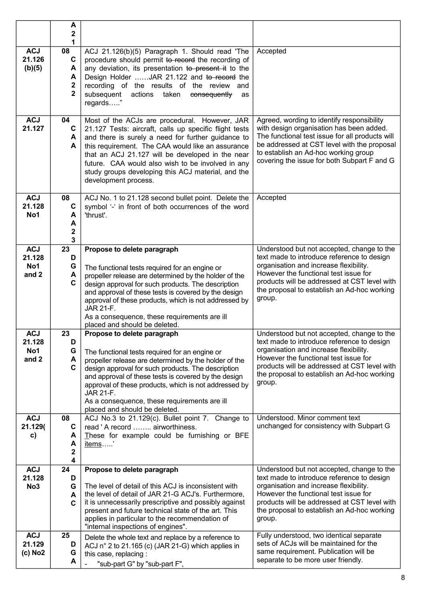|                                                    | A<br>2<br>1                                        |                                                                                                                                                                                                                                                                                                                                                                                                                                                                 |                                                                                                                                                                                                                                                                                                                        |
|----------------------------------------------------|----------------------------------------------------|-----------------------------------------------------------------------------------------------------------------------------------------------------------------------------------------------------------------------------------------------------------------------------------------------------------------------------------------------------------------------------------------------------------------------------------------------------------------|------------------------------------------------------------------------------------------------------------------------------------------------------------------------------------------------------------------------------------------------------------------------------------------------------------------------|
| <b>ACJ</b><br>21.126<br>(b)(5)                     | 08<br>$\mathbf c$<br>A<br>A<br>2<br>$\overline{2}$ | ACJ 21.126(b)(5) Paragraph 1. Should read 'The<br>procedure should permit to record the recording of<br>any deviation, its presentation to present it to the<br>Design Holder JAR 21.122 and to record the<br>recording of the results of the review<br>and<br>subsequent<br>actions<br>taken<br>consequently<br>as<br>regards"                                                                                                                                 | Accepted                                                                                                                                                                                                                                                                                                               |
| <b>ACJ</b><br>21.127                               | 04<br>C<br>A<br>A                                  | Most of the ACJs are procedural. However, JAR<br>21.127 Tests: aircraft, calls up specific flight tests<br>and there is surely a need for further guidance to<br>this requirement. The CAA would like an assurance<br>that an ACJ 21.127 will be developed in the near<br>future. CAA would also wish to be involved in any<br>study groups developing this ACJ material, and the<br>development process.                                                       | Agreed, wording to identify responsibility<br>with design organisation has been added.<br>The functional test issue for all products will<br>be addressed at CST level with the proposal<br>to establish an Ad-hoc working group<br>covering the issue for both Subpart F and G                                        |
| <b>ACJ</b><br>21.128<br>No1                        | 08<br>$\mathbf c$<br>A<br>A<br>2<br>3              | ACJ No. 1 to 21.128 second bullet point. Delete the<br>symbol '-' in front of both occurrences of the word<br>'thrust'.                                                                                                                                                                                                                                                                                                                                         | Accepted                                                                                                                                                                                                                                                                                                               |
| <b>ACJ</b><br>21.128<br>No1<br>and 2               | 23<br>D<br>G<br>A<br>C                             | Propose to delete paragraph<br>The functional tests required for an engine or<br>propeller release are determined by the holder of the<br>design approval for such products. The description<br>and approval of these tests is covered by the design<br>approval of these products, which is not addressed by<br>JAR 21-F.<br>As a consequence, these requirements are ill<br>placed and should be deleted.                                                     | Understood but not accepted, change to the<br>text made to introduce reference to design<br>organisation and increase flexibility.<br>However the functional test issue for<br>products will be addressed at CST level with<br>the proposal to establish an Ad-hoc working<br>group.                                   |
| <b>ACJ</b><br>21.128<br>No1<br>and 2<br><b>ACJ</b> | 23<br>D<br>G<br>A<br>C<br>08                       | Propose to delete paragraph<br>The functional tests required for an engine or<br>propeller release are determined by the holder of the<br>design approval for such products. The description<br>and approval of these tests is covered by the design<br>approval of these products, which is not addressed by<br>JAR 21-F.<br>As a consequence, these requirements are ill<br>placed and should be deleted.<br>ACJ No.3 to 21.129(c). Bullet point 7. Change to | Understood but not accepted, change to the<br>text made to introduce reference to design<br>organisation and increase flexibility.<br>However the functional test issue for<br>products will be addressed at CST level with<br>the proposal to establish an Ad-hoc working<br>group.<br>Understood. Minor comment text |
| 21.129(<br>C)                                      | C<br>A<br>A<br>2<br>4                              | read 'A record  airworthiness.<br>These for example could be furnishing or BFE<br>items'                                                                                                                                                                                                                                                                                                                                                                        | unchanged for consistency with Subpart G                                                                                                                                                                                                                                                                               |
| <b>ACJ</b><br>21.128<br>No <sub>3</sub>            | 24<br>D<br>G<br>A<br>$\mathbf c$                   | Propose to delete paragraph<br>The level of detail of this ACJ is inconsistent with<br>the level of detail of JAR 21-G ACJ's. Furthermore,<br>it is unnecessarily prescriptive and possibly against<br>present and future technical state of the art. This<br>applies in particular to the recommendation of<br>"internal inspections of engines".                                                                                                              | Understood but not accepted, change to the<br>text made to introduce reference to design<br>organisation and increase flexibility.<br>However the functional test issue for<br>products will be addressed at CST level with<br>the proposal to establish an Ad-hoc working<br>group.                                   |
| <b>ACJ</b><br>21.129<br>(c) No2                    | 25<br>D<br>G<br>A                                  | Delete the whole text and replace by a reference to<br>ACJ $n^{\circ}$ 2 to 21.165 (c) (JAR 21-G) which applies in<br>this case, replacing:<br>"sub-part G" by "sub-part F",                                                                                                                                                                                                                                                                                    | Fully understood, two identical separate<br>sets of ACJs will be maintained for the<br>same requirement. Publication will be<br>separate to be more user friendly.                                                                                                                                                     |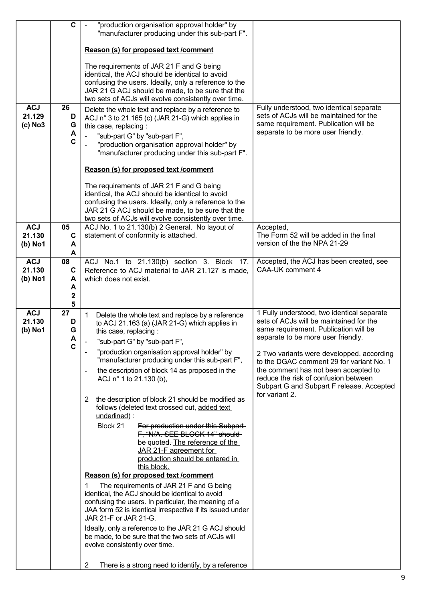|                                   | $\mathbf c$                      | "production organisation approval holder" by<br>"manufacturer producing under this sub-part F".                                                                                                                                                                                                                                                                                                                                                                                                                                                                                                                                                                                                                                                                                                                                                                                                                                                                                                                                                                                                                                                                                                                 |                                                                                                                                                                                                                                                                                                                                                                                                              |
|-----------------------------------|----------------------------------|-----------------------------------------------------------------------------------------------------------------------------------------------------------------------------------------------------------------------------------------------------------------------------------------------------------------------------------------------------------------------------------------------------------------------------------------------------------------------------------------------------------------------------------------------------------------------------------------------------------------------------------------------------------------------------------------------------------------------------------------------------------------------------------------------------------------------------------------------------------------------------------------------------------------------------------------------------------------------------------------------------------------------------------------------------------------------------------------------------------------------------------------------------------------------------------------------------------------|--------------------------------------------------------------------------------------------------------------------------------------------------------------------------------------------------------------------------------------------------------------------------------------------------------------------------------------------------------------------------------------------------------------|
|                                   |                                  | Reason (s) for proposed text /comment                                                                                                                                                                                                                                                                                                                                                                                                                                                                                                                                                                                                                                                                                                                                                                                                                                                                                                                                                                                                                                                                                                                                                                           |                                                                                                                                                                                                                                                                                                                                                                                                              |
|                                   |                                  | The requirements of JAR 21 F and G being<br>identical, the ACJ should be identical to avoid<br>confusing the users. Ideally, only a reference to the<br>JAR 21 G ACJ should be made, to be sure that the<br>two sets of ACJs will evolve consistently over time.                                                                                                                                                                                                                                                                                                                                                                                                                                                                                                                                                                                                                                                                                                                                                                                                                                                                                                                                                |                                                                                                                                                                                                                                                                                                                                                                                                              |
| <b>ACJ</b><br>21.129<br>$(c)$ No3 | 26<br>D<br>G<br>A<br>C           | Delete the whole text and replace by a reference to<br>ACJ n° 3 to 21.165 (c) (JAR 21-G) which applies in<br>this case, replacing:<br>"sub-part G" by "sub-part F",<br>"production organisation approval holder" by<br>"manufacturer producing under this sub-part F".<br>Reason (s) for proposed text / comment<br>The requirements of JAR 21 F and G being<br>identical, the ACJ should be identical to avoid                                                                                                                                                                                                                                                                                                                                                                                                                                                                                                                                                                                                                                                                                                                                                                                                 | Fully understood, two identical separate<br>sets of ACJs will be maintained for the<br>same requirement. Publication will be<br>separate to be more user friendly.                                                                                                                                                                                                                                           |
|                                   |                                  | confusing the users. Ideally, only a reference to the<br>JAR 21 G ACJ should be made, to be sure that the<br>two sets of ACJs will evolve consistently over time.                                                                                                                                                                                                                                                                                                                                                                                                                                                                                                                                                                                                                                                                                                                                                                                                                                                                                                                                                                                                                                               |                                                                                                                                                                                                                                                                                                                                                                                                              |
| <b>ACJ</b><br>21.130<br>$(b)$ No1 | 05<br>C<br>A<br>A                | ACJ No. 1 to 21.130(b) 2 General. No layout of<br>statement of conformity is attached.                                                                                                                                                                                                                                                                                                                                                                                                                                                                                                                                                                                                                                                                                                                                                                                                                                                                                                                                                                                                                                                                                                                          | Accepted,<br>The Form 52 will be added in the final<br>version of the the NPA 21-29                                                                                                                                                                                                                                                                                                                          |
| <b>ACJ</b><br>21.130<br>(b) No1   | 08<br>C<br>A<br>A<br>2<br>5      | ACJ No.1 to 21.130(b) section 3. Block 17.<br>Reference to ACJ material to JAR 21.127 is made,<br>which does not exist.                                                                                                                                                                                                                                                                                                                                                                                                                                                                                                                                                                                                                                                                                                                                                                                                                                                                                                                                                                                                                                                                                         | Accepted, the ACJ has been created, see<br>CAA-UK comment 4                                                                                                                                                                                                                                                                                                                                                  |
| <b>ACJ</b><br>21.130<br>$(b)$ No1 | 27<br>D<br>G<br>А<br>$\mathbf c$ | 1<br>Delete the whole text and replace by a reference<br>to ACJ 21.163 (a) (JAR 21-G) which applies in<br>this case, replacing:<br>"sub-part G" by "sub-part F",<br>"production organisation approval holder" by<br>"manufacturer producing under this sub-part F",<br>the description of block 14 as proposed in the<br>ACJ n° 1 to 21.130 (b),<br>the description of block 21 should be modified as<br>$\overline{2}$<br>follows (deleted text crossed out, added text<br>underlined):<br>Block 21<br>For production under this Subpart-<br>F, "N/A. SEE BLOCK 14" should-<br>be quoted. The reference of the<br>JAR 21-F agreement for<br>production should be entered in<br>this block.<br>Reason (s) for proposed text / comment<br>The requirements of JAR 21 F and G being<br>1<br>identical, the ACJ should be identical to avoid<br>confusing the users. In particular, the meaning of a<br>JAA form 52 is identical irrespective if its issued under<br>JAR 21-F or JAR 21-G.<br>Ideally, only a reference to the JAR 21 G ACJ should<br>be made, to be sure that the two sets of ACJs will<br>evolve consistently over time.<br>$\overline{2}$<br>There is a strong need to identify, by a reference | 1 Fully understood, two identical separate<br>sets of ACJs will be maintained for the<br>same requirement. Publication will be<br>separate to be more user friendly.<br>2 Two variants were developped. according<br>to the DGAC comment 29 for variant No. 1<br>the comment has not been accepted to<br>reduce the risk of confusion between<br>Subpart G and Subpart F release. Accepted<br>for variant 2. |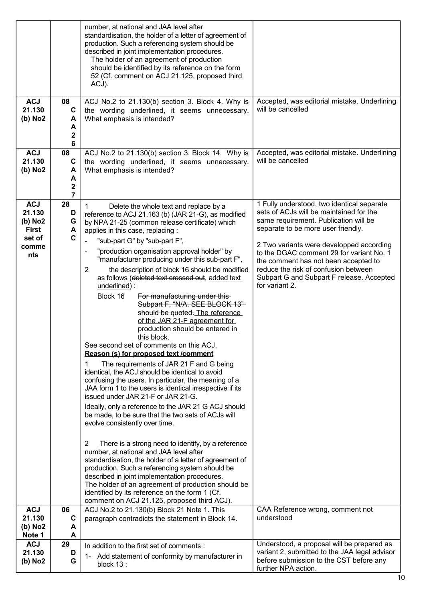|                      |                   | number, at national and JAA level after<br>standardisation, the holder of a letter of agreement of                                           |                                                                                          |
|----------------------|-------------------|----------------------------------------------------------------------------------------------------------------------------------------------|------------------------------------------------------------------------------------------|
|                      |                   | production. Such a referencing system should be<br>described in joint implementation procedures.<br>The holder of an agreement of production |                                                                                          |
|                      |                   | should be identified by its reference on the form<br>52 (Cf. comment on ACJ 21.125, proposed third                                           |                                                                                          |
|                      |                   | ACJ).                                                                                                                                        |                                                                                          |
| <b>ACJ</b><br>21.130 | 08<br>$\mathbf c$ | ACJ No.2 to 21.130(b) section 3. Block 4. Why is<br>the wording underlined, it seems unnecessary.                                            | Accepted, was editorial mistake. Underlining<br>will be cancelled                        |
| (b) No2              | A<br>A            | What emphasis is intended?                                                                                                                   |                                                                                          |
|                      | $\mathbf 2$<br>6  |                                                                                                                                              |                                                                                          |
| <b>ACJ</b>           | 08                | ACJ No.2 to 21.130(b) section 3. Block 14. Why is                                                                                            | Accepted, was editorial mistake. Underlining                                             |
| 21.130<br>(b) No2    | C<br>A            | the wording underlined, it seems unnecessary.<br>What emphasis is intended?                                                                  | will be cancelled                                                                        |
|                      | A                 |                                                                                                                                              |                                                                                          |
|                      | 2<br>7            |                                                                                                                                              |                                                                                          |
| <b>ACJ</b>           | 28                | 1<br>Delete the whole text and replace by a                                                                                                  | 1 Fully understood, two identical separate                                               |
| 21.130<br>(b) No2    | D<br>G            | reference to ACJ 21.163 (b) (JAR 21-G), as modified<br>by NPA 21-25 (common release certificate) which                                       | sets of ACJs will be maintained for the<br>same requirement. Publication will be         |
| <b>First</b>         | A                 | applies in this case, replacing:                                                                                                             | separate to be more user friendly.                                                       |
| set of<br>comme      | C                 | "sub-part G" by "sub-part F",                                                                                                                | 2 Two variants were developped according                                                 |
| nts                  |                   | "production organisation approval holder" by<br>$\overline{a}$<br>"manufacturer producing under this sub-part F",                            | to the DGAC comment 29 for variant No. 1<br>the comment has not been accepted to         |
|                      |                   | $\overline{2}$<br>the description of block 16 should be modified                                                                             | reduce the risk of confusion between                                                     |
|                      |                   | as follows (deleted text crossed out, added text<br>underlined):                                                                             | Subpart G and Subpart F release. Accepted<br>for variant 2.                              |
|                      |                   | Block 16<br>For manufacturing under this-                                                                                                    |                                                                                          |
|                      |                   | Subpart F, "N/A. SEE BLOCK 13"-<br>should be quoted. The reference                                                                           |                                                                                          |
|                      |                   | of the JAR 21-F agreement for                                                                                                                |                                                                                          |
|                      |                   | production should be entered in<br>this block.                                                                                               |                                                                                          |
|                      |                   | See second set of comments on this ACJ.                                                                                                      |                                                                                          |
|                      |                   | Reason (s) for proposed text /comment                                                                                                        |                                                                                          |
|                      |                   | The requirements of JAR 21 F and G being<br>1<br>identical, the ACJ should be identical to avoid                                             |                                                                                          |
|                      |                   | confusing the users. In particular, the meaning of a<br>JAA form 1 to the users is identical irrespective if its                             |                                                                                          |
|                      |                   | issued under JAR 21-F or JAR 21-G.                                                                                                           |                                                                                          |
|                      |                   | Ideally, only a reference to the JAR 21 G ACJ should                                                                                         |                                                                                          |
|                      |                   | be made, to be sure that the two sets of ACJs will<br>evolve consistently over time.                                                         |                                                                                          |
|                      |                   |                                                                                                                                              |                                                                                          |
|                      |                   | 2<br>There is a strong need to identify, by a reference<br>number, at national and JAA level after                                           |                                                                                          |
|                      |                   | standardisation, the holder of a letter of agreement of                                                                                      |                                                                                          |
|                      |                   | production. Such a referencing system should be<br>described in joint implementation procedures.                                             |                                                                                          |
|                      |                   | The holder of an agreement of production should be                                                                                           |                                                                                          |
|                      |                   | identified by its reference on the form 1 (Cf.<br>comment on ACJ 21.125, proposed third ACJ).                                                |                                                                                          |
| <b>ACJ</b>           | 06                | ACJ No.2 to 21.130(b) Block 21 Note 1. This                                                                                                  | CAA Reference wrong, comment not                                                         |
| 21.130               | C<br>A            | paragraph contradicts the statement in Block 14.                                                                                             | understood                                                                               |
| (b) No2<br>Note 1    | A                 |                                                                                                                                              |                                                                                          |
| <b>ACJ</b>           | 29                | In addition to the first set of comments :                                                                                                   | Understood, a proposal will be prepared as                                               |
| 21.130<br>(b) No2    | D<br>G            | Add statement of conformity by manufacturer in<br>1-                                                                                         | variant 2, submitted to the JAA legal advisor<br>before submission to the CST before any |
|                      |                   | block 13:                                                                                                                                    | further NPA action.                                                                      |